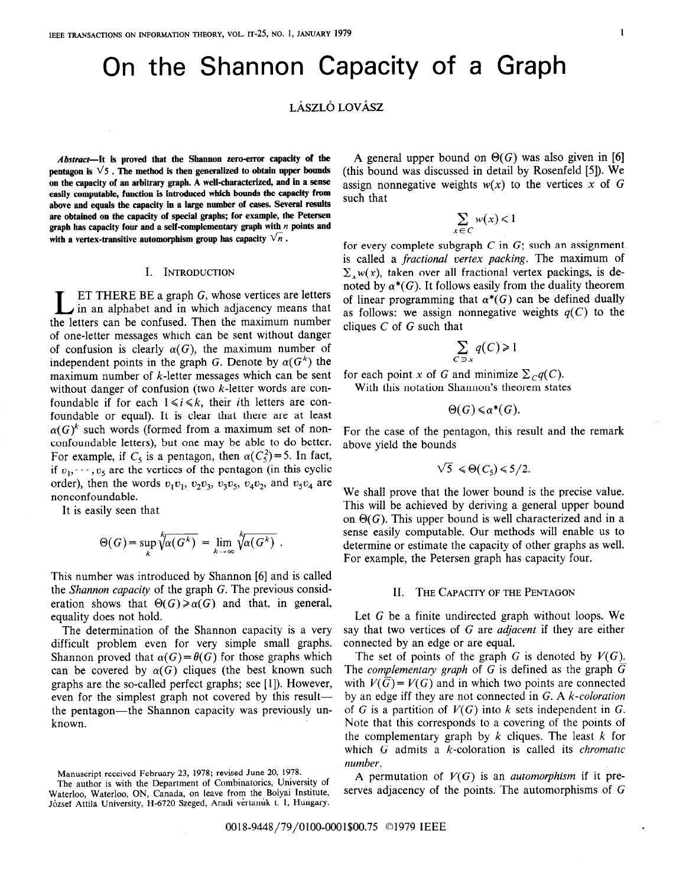# On the Shannon Capacity of a Graph

# LÁSZLÓ LOVÁSZ

Abstract-It is proved that the Shannon zero-error capacity of the pentagon is  $\sqrt{5}$ . The method is then generalized to obtain upper bounds on the capacity of au arbitrary graph. A well-characterized, and in a sense easily computable, function is introduced which bounds the capacity from above and equals the capacity in a large number of cases. Several results are obtained on the capacity of special graphs; for example, the Petersen graph has capacity four and a self-complementary graph with  $n$  points and with a vertex-transitive automorphism group has capacity  $\sqrt{n}$ .

## I. INTRODUCTION

**LET THERE BE a graph G, whose vertices are letters** in an alphabet and in which adjacency means that the letters can be confused. Then the maximum number of one-letter messages which can be sent without danger of confusion is clearly  $\alpha(G)$ , the maximum number of independent points in the graph G. Denote by  $\alpha(G^k)$  the maximum number of  $k$ -letter messages which can be sent without danger of confusion (two k-letter words are confoundable if for each  $1 \le i \le k$ , their *i*th letters are confoundable or equal). It is clear that there are at least  $\alpha(G)^k$  such words (formed from a maximum set of nonconfoundable letters), but one may be able to do better. For example, if  $C_5$  is a pentagon, then  $\alpha(C_5^2) = 5$ . In fact, if  $v_1, \dots, v_5$  are the vertices of the pentagon (in this cyclic order), then the words  $v_1v_1$ ,  $v_2v_3$ ,  $v_3v_5$ ,  $v_4v_2$ , and  $v_5v_4$  are nonconfoundable.

It is easily seen that

$$
\Theta(G) = \sup_{k} \sqrt[k]{\alpha(G^{k})} = \lim_{k \to \infty} \sqrt[k]{\alpha(G^{k})} .
$$

This number was introduced by Shannon [6] and is called the Shannon capacity of the graph G. The previous consideration shows that  $\Theta(G) \ge \alpha(G)$  and that, in general, equality does not hold.

The determination of the Shannon capacity is a very difficult problem even for very simple small graphs. Shannon proved that  $\alpha(G) = \theta(G)$  for those graphs which can be covered by  $\alpha(G)$  cliques (the best known such graphs are the so-called perfect graphs; see [ 11). However, even for the simplest graph not covered by this resultthe pentagon—the Shannon capacity was previously unknown.

A general upper bound on  $\Theta(G)$  was also given in [6] (this bound was discussed in detail by Rosenfeld [5]). We assign nonnegative weights  $w(x)$  to the vertices x of G such that

$$
\sum_{c \in C} w(x) \leq 1
$$

for every complete subgraph  $C$  in  $G$ ; such an assignment is called a fractional vertex packing. The maximum of  $\sum_{x} w(x)$ , taken over all fractional vertex packings, is denoted by  $\alpha^*(G)$ . It follows easily from the duality theorem of linear programming that  $\alpha^*(G)$  can be defined dually as follows: we assign nonnegative weights  $q(C)$  to the cliques  $C$  of  $G$  such that

$$
\sum_{C \ni x} q(C) \ge 1
$$

for each point x of G and minimize  $\sum_{C} q(C)$ . With this notation Shannon's theorem states

 $\Theta(G) \leq \alpha^*(G)$ .

For the case of the pentagon, this result and the remark above yield the bounds

$$
\sqrt{5} \leq \Theta(C_5) \leq 5/2
$$
.

We shall prove that the lower bound is the precise value. This will be achieved by deriving a general upper bound on  $\Theta(G)$ . This upper bound is well characterized and in a sense easily computable. Our methods will enable us to determine or estimate the capacity of other graphs as well. For example, the Petersen graph has capacity four.

## II. THE CAPACITY OF THE PENTAGON

Let G be a finite undirected graph without loops. We say that two vertices of G are *adjacent* if they are either connected by an edge or are equal.

The set of points of the graph G is denoted by  $V(G)$ . The *complementary graph* of  $G$  is defined as the graph  $G$ with  $V(\overline{G}) = V(G)$  and in which two points are connected by an edge iff they are not connected in G. A k-coloration of G is a partition of  $V(G)$  into k sets independent in G. Note that this corresponds to a covering of the points of the complementary graph by  $k$  cliques. The least  $k$  for which  $G$  admits a  $k$ -coloration is called its *chromatic* number.

A permutation of  $V(G)$  is an *automorphism* if it preserves adjacency of the points. The automorphisms of G

Manuscript received February 23, 1978; revised June 20, 1978.

The author is with the Department of Combinatorics, University of Waterloo, Waterloo, ON, Canada, on leave from the Bolyai Institute, József Attila University, H-6720 Szeged, Aradi vértanúk t. 1, Hungary.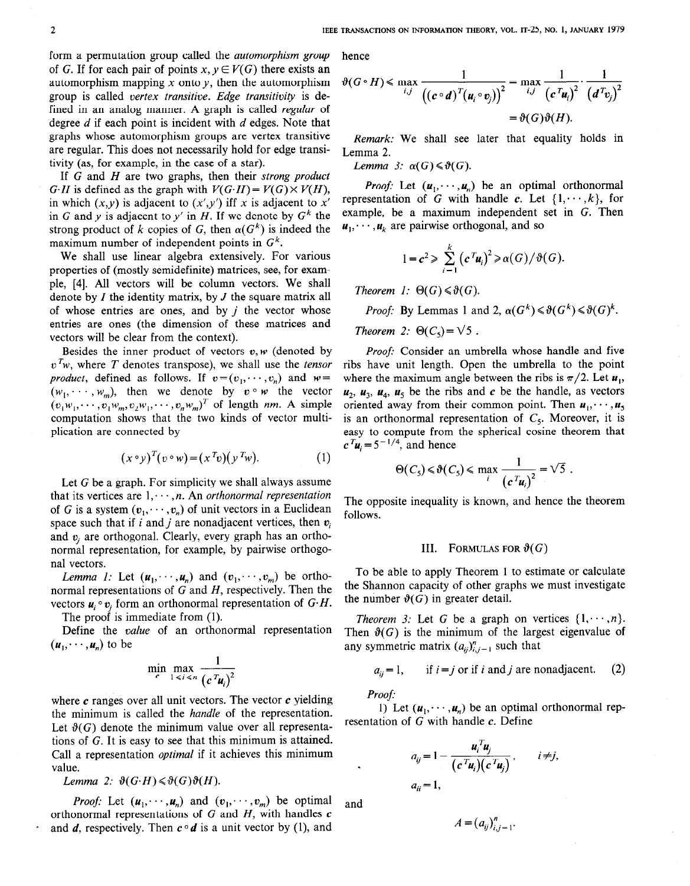form a permutation group called the automorphism group of G. If for each pair of points  $x, y \in V(G)$  there exists an automorphism mapping x onto  $\gamma$ , then the automorphism group is called vertex transitive. Edge transitivity is defined in an analog manner. A graph is called regular of degree  $d$  if each point is incident with  $d$  edges. Note that graphs whose automorphism groups are vertex transitive are regular. This does not necessarily hold for edge transitivity (as, for example, in the case of a star).

If G and H are two graphs, then their *strong product*  $G \cdot H$  is defined as the graph with  $V(G \cdot H) = V(G) \times V(H)$ , in which  $(x,y)$  is adjacent to  $(x',y')$  iff x is adjacent to x' in G and y is adjacent to y' in H. If we denote by  $G<sup>k</sup>$  the strong product of k copies of G, then  $\alpha(G^k)$  is indeed the maximum number of independent points in  $G<sup>k</sup>$ .

We shall use linear algebra extensively. For various properties of (mostly semidefinite) matrices, see, for example, [4]. All vectors will be column vectors. We shall denote by  $I$  the identity matrix, by  $J$  the square matrix all of whose entries are ones, and by  $i$  the vector whose entries are ones (the dimension of these matrices and vectors will be clear from the context).

Besides the inner product of vectors  $v, w$  (denoted by  $v<sup>T</sup>w$ , where T denotes transpose), we shall use the tensor product, defined as follows. If  $v = (v_1, \dots, v_n)$  and  $w =$  $(v_1w_1, \dots, v_1w_m, v_2w_1, \dots, v_nw_m)^T$  of length nm. A simple  $(w_1, \dots, w_m)$ , then we denote by  $v \circ w$  the vector computation shows that the two kinds of vector multiplication are connected by

$$
(x \circ y)^T (v \circ w) = (x^T v)(y^T w).
$$
 (1)

Let G be a graph. For simplicity we shall always assume that its vertices are  $1, \dots, n$ . An orthonormal representation of G is a system  $(v_1, \dots, v_n)$  of unit vectors in a Euclidean space such that if i and j are nonadjacent vertices, then  $v_i$ and  $v_i$  are orthogonal. Clearly, every graph has an orthonormal representation, for example, by pairwise orthogonal vectors.

*Lemma 1:* Let  $(\mathbf{u}_1, \dots, \mathbf{u}_n)$  and  $(\mathbf{v}_1, \dots, \mathbf{v}_m)$  be orthonormal representations of  $G$  and  $H$ , respectively. Then the vectors  $u_i \circ v_j$  form an orthonormal representation of  $G \cdot H$ .

The proof is immediate from (1).

Define the *value* of an orthonormal representation  $(\boldsymbol{u}_1, \dots, \boldsymbol{u}_n)$  to be

$$
\min_{c} \max_{1 \leq i \leq n} \frac{1}{(c^T u_i)^2}
$$

where  $c$  ranges over all unit vectors. The vector  $c$  yielding the minimum is called the handle of the representation. Let  $\vartheta(G)$  denote the minimum value over all representations of G. It is easy to see that this minimum is attained. Call a representation optimal if it achieves this minimum value.

Lemma 2:  $\vartheta(G \cdot H) \leq \vartheta(G) \vartheta(H)$ .

*Proof:* Let  $(u_1, \dots, u_n)$  and  $(v_1, \dots, v_m)$  be optimal orthonormal representations of  $G$  and  $H$ , with handles  $c$ and d, respectively. Then  $c \circ d$  is a unit vector by (1), and

hence

$$
\vartheta(G \circ H) \le \max_{i,j} \frac{1}{\left( (c \circ d)^T (u_i \circ v_j) \right)^2} = \max_{i,j} \frac{1}{\left( c^T u_i \right)^2} \cdot \frac{1}{\left( d^T v_j \right)^2}
$$

$$
= \vartheta(G) \vartheta(H).
$$

Remark: We shall see later that equality holds in Lemma 2.

Lemma 3:  $\alpha(G) \leq \vartheta(G)$ .

*Proof:* Let  $(u_1, \dots, u_n)$  be an optimal orthonormal representation of G with handle c. Let  $\{1, \dots, k\}$ , for example, be a maximum independent set in G. Then  $\mathbf{u}_1, \dots, \mathbf{u}_k$  are pairwise orthogonal, and so

$$
1 = c^2 \geqslant \sum_{i=1}^k (c^T u_i)^2 \geqslant \alpha(G)/\vartheta(G).
$$

Theorem 1:  $\Theta(G) \leq \vartheta(G)$ .

*Proof:* By Lemmas 1 and 2,  $\alpha(G^k) \le \vartheta(G^k) \le \vartheta(G)^k$ .

Theorem 2:  $\Theta(C_5) = \sqrt{5}$ .

Proof: Consider an umbrella whose handle and five ribs have unit length. Open the umbrella to the point where the maximum angle between the ribs is  $\pi/2$ . Let  $\mathbf{u}_1$ ,  $u_2$ ,  $u_3$ ,  $u_4$ ,  $u_5$  be the ribs and c be the handle, as vectors oriented away from their common point. Then  $u_1, \dots, u_5$ is an orthonormal representation of  $C_5$ . Moreover, it is easy to compute from the spherical cosine theorem that  $c^{T}$ u<sub>i</sub> = 5<sup>-1/4</sup>, and hence

$$
\Theta(C_5) \leq \vartheta(C_5) \leq \max_{i} \frac{1}{(c^T u_i)^2} = \sqrt{5}.
$$

The opposite inequality is known, and hence the theorem follows.

#### III. FORMULAS FOR  $\vartheta(G)$

To be able to apply Theorem 1 to estimate or calculate the Shannon capacity of other graphs we must investigate the number  $\vartheta(G)$  in greater detail.

*Theorem 3:* Let G be a graph on vertices  $\{1, \dots, n\}$ . Then  $\mathcal{Y}(G)$  is the minimum of the largest eigenvalue of any symmetric matrix  $(a_{ij})_{i,j=1}^n$  such that

$$
a_{ij} = 1
$$
, if  $i = j$  or if i and j are nonadjacent. (2)

Proof:

1) Let  $(u_1, \dots, u_n)$  be an optimal orthonormal representation of  $G$  with handle  $c$ . Define

$$
a_{ij} = 1 - \frac{u_i^T u_j}{(c^T u_i)(c^T u_j)}, \qquad i \neq j,
$$
  

$$
a_{ii} = 1,
$$

and

.

$$
A=(a_{ij})_{i,j=1}^n.
$$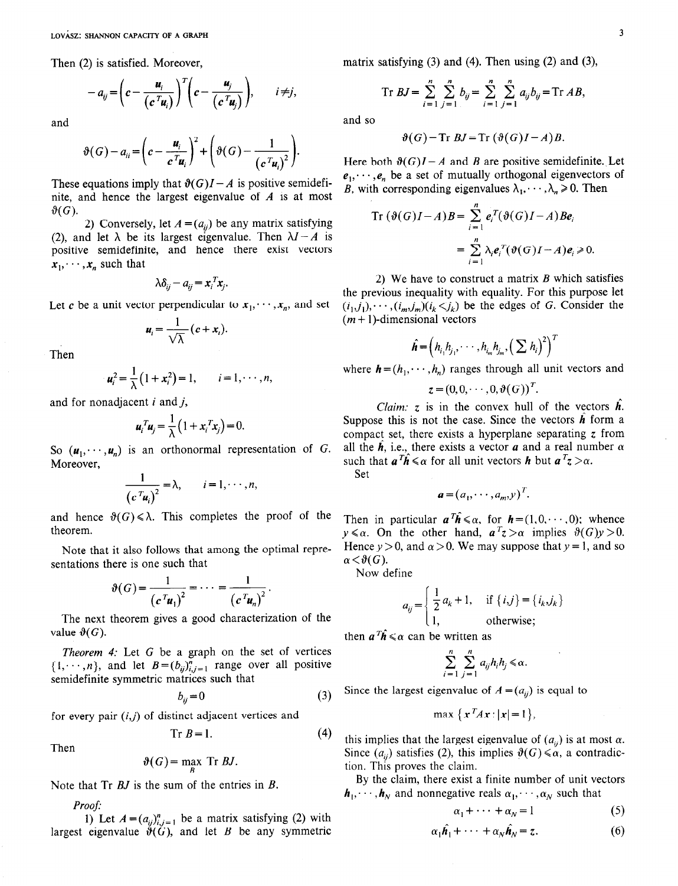Then (2) is satisfied. Moreover,

$$
-a_{ij} = \left(c - \frac{u_i}{(c^T u_i)}\right)^T \left(c - \frac{u_j}{(c^T u_j)}\right), \qquad i \neq j
$$

and

$$
\vartheta(G)-a_{ii}=\left(c-\frac{u_i}{c^T u_i}\right)^2+\left(\vartheta(G)-\frac{1}{\left(c^T u_i\right)^2}\right).
$$

These equations imply that  $\vartheta(G)I - A$  is positive semidefinite, and hence the largest eigenvalue of  $A$  is at most  $\vartheta(G)$ .

2) Conversely, let  $A = (a_{ij})$  be any matrix satisfying (2), and let  $\lambda$  be its largest eigenvalue. Then  $\lambda I - A$  is positive semidefinite, and hence there exist vectors  $x_1, \dots, x_n$  such that

$$
\lambda \delta_{ij} - a_{ij} = x_i^T x_j.
$$

Let c be a unit vector perpendicular to  $x_1, \dots, x_n$ , and set

$$
\mathbf{u}_i = \frac{1}{\sqrt{\lambda}} (\mathbf{c} + \mathbf{x}_i).
$$

Then

$$
u_i^2 = \frac{1}{\lambda} \left( 1 + x_i^2 \right) = 1, \qquad i = 1, \cdots, n,
$$

and for nonadjacent  $i$  and  $j$ ,

$$
\mathbf{u}_i^T \mathbf{u}_j = \frac{1}{\lambda} \left( 1 + \mathbf{x}_i^T \mathbf{x}_j \right) = 0.
$$

So  $(\mathbf{u}_1, \dots, \mathbf{u}_n)$  is an orthonormal representation of G. Moreover,

$$
\frac{1}{(c^T u_i)^2} = \lambda, \qquad i = 1, \cdots, n,
$$

and hence  $\vartheta(G) \le \lambda$ . This completes the proof of the theorem.

Note that it also follows that among the optimal representations there is one such that

$$
\vartheta(G) = \frac{1}{(c^T u_1)^2} = \cdots = \frac{1}{(c^T u_n)^2}.
$$

The next theorem gives a good characterization of the value  $\vartheta(G)$ .

Theorem 4: Let G be a graph on the set of vertices  $\{1, \dots, n\}$ , and let  $B = (b_{ij})_{i,j=1}^n$  range over all positive semidefinite symmetric matrices such that

$$
b_{ij} = 0 \tag{3}
$$

for every pair  $(i, j)$  of distinct adjacent vertices and

 $Tr B = 1.$  (4)

$$
\vartheta(G) = \max_{B} \; \text{Tr} \; BJ.
$$

Note that Tr BJ is the sum of the entries in B.

Proof:

Then

1) Let  $A = (a_{ij})_{i,j=1}^n$  be a matrix satisfying (2) with largest eigenvalue  $\hat{\vartheta}(\tilde{G})$ , and let B be any symmetric matrix satisfying  $(3)$  and  $(4)$ . Then using  $(2)$  and  $(3)$ ,

$$
\text{Tr } BJ = \sum_{i=1}^{n} \sum_{j=1}^{n} b_{ij} = \sum_{i=1}^{n} \sum_{j=1}^{n} a_{ij} b_{ij} = \text{Tr } AB,
$$

and so

$$
\vartheta(G) - \mathrm{Tr}\, BJ = \mathrm{Tr}\,(\vartheta(G)I - A)B.
$$

Here both  $\vartheta(G)I - A$  and B are positive semidefinite. Let  $e_1, \dots, e_n$  be a set of mutually orthogonal eigenvectors of B, with corresponding eigenvalues  $\lambda_1, \dots, \lambda_n \ge 0$ . Then

$$
\operatorname{Tr} \left( \vartheta(G)I - A \right) B = \sum_{i=1}^{n} e_i^T(\vartheta(G)I - A) Be_i
$$
  
= 
$$
\sum_{i=1}^{n} \lambda_i e_i^T(\vartheta(G)I - A)e_i \ge 0.
$$

2) We have to construct a matrix  $B$  which satisfies the previous inequality with equality. For this purpose let  $(i_1,j_1), \dots, (i_m,j_m)(i_k\leq j_k)$  be the edges of G. Consider the  $(m + 1)$ -dimensional vectors

$$
\hat{\boldsymbol{h}} = \left(h_{i_1}h_{j_1}, \cdots, h_{i_m}h_{j_m}, \left(\sum h_i\right)^2\right)^T
$$

where  $h = (h_1, \dots, h_n)$  ranges through all unit vectors and

$$
z=(0,0,\cdots,0,\vartheta(G))^{\prime}.
$$

*Claim:*  $z$  is in the convex hull of the vectors  $h$ . Suppose this is not the case. Since the vectors  $\hat{h}$  form a compact set, there exists a hyperplane separating  $\zeta$  from all the  $\hat{h}$ , i.e., there exists a vector **a** and a real number  $\alpha$ such that  $a^T \hat{h} \le \alpha$  for all unit vectors  $h$  but  $a^T z > \alpha$ .

Set

$$
\mathbf{a} = (a_1, \cdots, a_m, y)^T.
$$

Then in particular  $a^T \hat{h} \le \alpha$ , for  $h = (1,0,\dots,0)$ ; whence  $y \le \alpha$ . On the other hand,  $a^Tz > \alpha$  implies  $\vartheta(G)y > 0$ . Hence  $y > 0$ , and  $\alpha > 0$ . We may suppose that  $y = 1$ , and so  $\alpha < \vartheta(G)$ .

Now define

$$
a_{ij} = \begin{cases} \frac{1}{2} a_k + 1, & \text{if } \{i, j\} = \{i_k, j_k\} \\ 1, & \text{otherwise}; \end{cases}
$$

then  $a^T \hat{h} \le \alpha$  can be written as

$$
\sum_{i=1}^n \sum_{j=1}^n a_{ij} h_i h_j \leq \alpha.
$$

Since the largest eigenvalue of  $A = (a_{ii})$  is equal to

$$
\max \left\{ x^T A x : |x| = 1 \right\}
$$

this implies that the largest eigenvalue of  $(a_{ij})$  is at most  $\alpha$ . Since  $(a_{ii})$  satisfies (2), this implies  $\vartheta(G) \le \alpha$ , a contradiction. This proves the claim.

By the claim, there exist a finite number of unit vectors  $h_1, \dots, h_N$  and nonnegative reals  $\alpha_1, \dots, \alpha_N$  such that

$$
\alpha_1 + \cdots + \alpha_N = 1 \tag{5}
$$

$$
\alpha_1 \hat{\boldsymbol{h}}_1 + \cdots + \alpha_N \hat{\boldsymbol{h}}_N = z.
$$
 (6)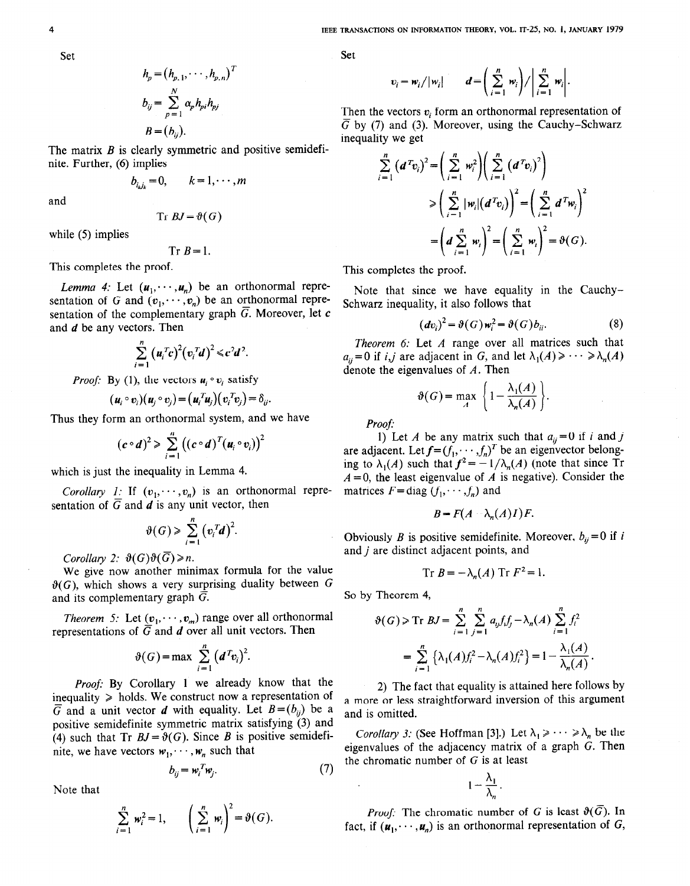Set

$$
h_p = (h_{p,1}, \dots, h_{p,n})^T
$$
  
\n
$$
b_{ij} = \sum_{p=1}^N \alpha_p h_{pi} h_{pj}
$$
  
\n
$$
B = (b_{ij}).
$$

The matrix  $B$  is clearly symmetric and positive semidefinite. Further, (6) implies

$$
b_{i_k j_k} = 0, \qquad k = 1, \cdots, m
$$

and

$$
\text{Tr } BJ = \vartheta(G)
$$

while (5) implies

$$
Tr B=1.
$$

This completes the proof.

*Lemma 4:* Let  $(u_1, \dots, u_n)$  be an orthonormal representation of G and  $(v_1, \dots, v_n)$  be an orthonormal representation of the complementary graph  $\overline{G}$ . Moreover, let c and d be any vectors. Then

$$
\sum_{i=1}^n (u_i^T c)^2 (v_i^T d)^2 \leq c^2 d^2.
$$

*Proof:* By (1), the vectors  $u_i \circ v_i$  satisfy

$$
(\boldsymbol{u}_i \circ \boldsymbol{v}_i)(\boldsymbol{u}_j \circ \boldsymbol{v}_j) = (\boldsymbol{u}_i^T \boldsymbol{u}_j)(\boldsymbol{v}_i^T \boldsymbol{v}_j) = \delta_{ij}.
$$

Thus they form an orthonormal system, and we have

$$
(c\circ d)^2\geqslant \sum_{i=1}^n ((c\circ d)^T (u_i\circ v_i))^2
$$

which is just the inequality in Lemma 4.

Corollary 1: If  $(v_1, \dots, v_n)$  is an orthonormal representation of  $\overline{G}$  and  $\overline{d}$  is any unit vector, then

$$
\vartheta(G) \geqslant \sum_{i=1}^n \left( \mathbf{v}_i^T \mathbf{d} \right)^2.
$$

Corollary 2:  $\vartheta(G)\vartheta(\overline{G})\geq n$ .

We give now another minimax formula for the value  $\vartheta(G)$ , which shows a very surprising duality between G and its complementary graph  $\overline{G}$ .

*Theorem 5:* Let  $(v_1, \dots, v_m)$  range over all orthonormal representations of  $\overline{G}$  and  $d$  over all unit vectors. Then

$$
\vartheta(G) = \max \sum_{i=1}^n (d^T v_i)^2.
$$

Proof: By Corollary 1 we already know that the inequality  $\geq$  holds. We construct now a representation of  $\overline{G}$  and a unit vector d with equality. Let  $B = (b_{ij})$  be a positive semidefinite symmetric matrix satisfying (3) and (4) such that Tr  $BJ = \vartheta(G)$ . Since B is positive semidefinite, we have vectors  $w_1, \dots, w_n$  such that

$$
b_{ij} = w_i^T w_j. \tag{7}
$$

Note that

$$
\sum_{i=1}^n w_i^2 = 1, \qquad \left(\sum_{i=1}^n w_i\right)^2 = \vartheta(G).
$$

$$
v_i = w_i / |w_i| \qquad d = \left( \sum_{i=1}^n w_i \right) / \left| \sum_{i=1}^n w_i \right|.
$$

Then the vectors  $v_i$  form an orthonormal representation of  $\overline{G}$  by (7) and (3). Moreover, using the Cauchy-Schwarz inequality we get

$$
\sum_{i=1}^{n} (d^{T}v_{i})^{2} = \left(\sum_{i=1}^{n} w_{i}^{2}\right) \left(\sum_{i=1}^{n} (d^{T}v_{i})^{2}\right)
$$
  
\n
$$
\geqslant \left(\sum_{i=1}^{n} |w_{i}| (d^{T}v_{i})\right)^{2} = \left(\sum_{i=1}^{n} d^{T}w_{i}\right)^{2}
$$
  
\n
$$
= \left(d \sum_{i=1}^{n} w_{i}\right)^{2} = \left(\sum_{i=1}^{n} w_{i}\right)^{2} = \vartheta(G).
$$

This completes the proof.

Note that since we have equality in the Cauchy-Schwarz inequality, it also follows that

$$
(\boldsymbol{dv}_i)^2 = \vartheta(G)\,\boldsymbol{w}_i^2 = \vartheta(G)\,\boldsymbol{b}_{ii}.\tag{8}
$$

Theorem 6: Let A range over all matrices such that  $a_{ij} = 0$  if i, j are adjacent in G, and let  $\lambda_1(A) \geq \cdots \geq \lambda_n(A)$ denote the eigenvalues of A. Then

$$
\vartheta(G) = \max_{A} \left\{ 1 - \frac{\lambda_1(A)}{\lambda_n(A)} \right\}.
$$

Proof:

1) Let A be any matrix such that  $a_{ij} = 0$  if i and j are adjacent. Let  $f = (f_1, \dots, f_n)^T$  be an eigenvector belonging to  $\lambda_1(A)$  such that  $f^2 = -1/\lambda_n(A)$  (note that since Tr  $A = 0$ , the least eigenvalue of A is negative). Consider the matrices  $F = diag(f_1, \dots, f_n)$  and

$$
B = F(A - \lambda_n(A)I)F.
$$

Obviously *B* is positive semidefinite. Moreover,  $b_{ij} = 0$  if i and *j* are distinct adjacent points, and

$$
\operatorname{Tr} B = -\lambda_n(A) \operatorname{Tr} F^2 = 1.
$$

So by Theorem 4,

$$
\vartheta(G) \ge \text{Tr } BJ = \sum_{i=1}^{n} \sum_{j=1}^{n} a_{ij} f_i f_j - \lambda_n(A) \sum_{i=1}^{n} f_i^2
$$
  
= 
$$
\sum_{i=1}^{n} \left\{ \lambda_1(A) f_i^2 - \lambda_n(A) f_i^2 \right\} = 1 - \frac{\lambda_1(A)}{\lambda_n(A)}.
$$

2) The fact that equality is attained here follows by a more or less straightforward inversion of this argument and is omitted.

*Corollary 3:* (See Hoffman [3].) Let  $\lambda_1 \geq \cdots \geq \lambda_n$  be the eigenvalues of the adjacency matrix of a graph G. Then the chromatic number of  $G$  is at least

$$
1-\frac{\lambda_1}{\lambda_n}.
$$

*Proof:* The chromatic number of G is least  $\vartheta(\overline{G})$ . In fact, if  $(u_1,\dots, u_n)$  is an orthonormal representation of G,

Set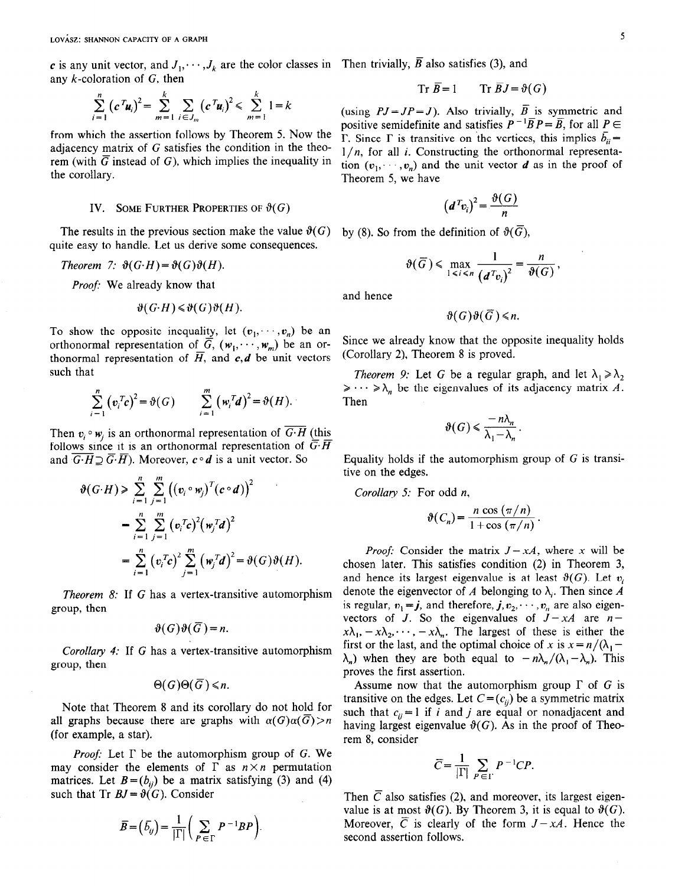c is any unit vector, and  $J_1, \dots, J_k$  are the color classes in Then trivially,  $\overline{B}$  also satisfies (3), and any  $k$ -coloration of  $G$ , then

$$
\sum_{i=1}^{n} (c^{T} \mathbf{u}_{i})^{2} = \sum_{m=1}^{k} \sum_{i \in J_{m}} (c^{T} \mathbf{u}_{i})^{2} \leq \sum_{m=1}^{k} 1 = k
$$

from which the assertion follows by Theorem 5. Now the adjacency matrix of G satisfies the condition in the theorem (with  $\overline{G}$  instead of G), which implies the inequality in the corollary.

#### IV. SOME FURTHER PROPERTIES OF  $\vartheta(G)$

The results in the previous section make the value  $\vartheta(G)$ quite easy to handle. Let us derive some consequences.

Theorem 7:  $\vartheta(G \cdot H) = \vartheta(G) \vartheta(H)$ .

Proof: We already know that

$$
\vartheta(G \cdot H) \leq \vartheta(G) \vartheta(H).
$$

To show the opposite inequality, let  $(v_1, \dots, v_n)$  be an orthonormal representation of  $\overline{G}$ ,  $(w_1, \dots, w_m)$  be an orthonormal representation of  $\overline{H}$ , and  $c, d$  be unit vectors such that

$$
\sum_{i=1}^n \left( \mathbf{v}_i^T \mathbf{c} \right)^2 = \vartheta(G) \qquad \sum_{i=1}^m \left( \mathbf{w}_i^T \mathbf{d} \right)^2 = \vartheta(H).
$$

Then  $v_i \circ w_i$  is an orthonormal representation of G·H (this follows since it is an orthonormal representation of  $\overline{G} \cdot \overline{H}$ and  $\overline{G \cdot H} \supseteq \overline{G \cdot H}$ ). Moreover,  $c \circ d$  is a unit vector. So

$$
\vartheta(G \cdot H) \geqslant \sum_{i=1}^{n} \sum_{j=1}^{m} \left( (v_i \circ w_j)^T (c \circ d) \right)^2
$$
  
= 
$$
\sum_{i=1}^{n} \sum_{j=1}^{m} (v_i^T c)^2 (w_j^T d)^2
$$
  
= 
$$
\sum_{i=1}^{n} (v_i^T c)^2 \sum_{j=1}^{m} (w_j^T d)^2 = \vartheta(G) \vartheta(H).
$$

$$
\vartheta(G)\vartheta(\overline{G})=n.
$$

Corollary 4: If G has a vertex-transitive automorphism group, then

$$
\Theta(G)\Theta(\overline{G})\leq n.
$$

Note that Theorem 8 and its corollary do not hold for all graphs because there are graphs with  $\alpha(G)\alpha(\overline{G}) > n$ (for example, a star).

*Proof:* Let  $\Gamma$  be the automorphism group of G. We may consider the elements of  $\Gamma$  as  $n \times n$  permutation matrices. Let  $B = (b_{ij})$  be a matrix satisfying (3) and (4) such that Tr  $BJ = \vartheta(G)$ . Consider

$$
\overline{B} = (\overline{b}_{ij}) = \frac{1}{|\Gamma|} \left( \sum_{P \in \Gamma} P^{-1} B P \right).
$$

$$
\operatorname{Tr} \overline{B} = 1 \qquad \operatorname{Tr} \overline{B} J = \vartheta(G)
$$

(using  $PJ= JP=J$ ). Also trivially,  $\overline{B}$  is symmetric and positive semidefinite and satisfies  $P^{-1}\overline{B}P=\overline{B}$ , for all  $P \in$  $\overline{\Gamma}$ . Since  $\Gamma$  is transitive on the vertices, this implies  $\overline{b}_n =$  $1/n$ , for all *i*. Constructing the orthonormal representation  $(v_1, \dots, v_n)$  and the unit vector d as in the proof of Theorem 5, we have

$$
\left(d^T v_i\right)^2 = \frac{\vartheta(G)}{n}
$$

by (8). So from the definition of  $\vartheta(\overline{G})$ ,

$$
\vartheta(\overline{G}) \leq \max_{1 \leq i \leq n} \frac{1}{(d^T v_i)^2} = \frac{n}{\vartheta(G)},
$$

and hence

$$
\vartheta(G)\vartheta(\overline{G})\leq n.
$$

Since we already know that the opposite inequality holds (Corollary 2), Theorem  $8$  is proved.

*Theorem 9:* Let G be a regular graph, and let  $\lambda_1 \ge \lambda_2$  $\geqslant \cdots \geqslant \lambda_n$  be the eigenvalues of its adjacency matrix A. Then

$$
\vartheta(G) \leqslant \frac{-n\lambda_n}{\lambda_1 - \lambda_n}.
$$

Equality holds if the automorphism group of  $G$  is transitive on the edges.

Corollary 5: For odd n,

$$
\vartheta(C_n) = \frac{n \cos(\pi/n)}{1 + \cos(\pi/n)}.
$$

 $=\sum_{i=1}^{n} (v_i^T c)^2 \sum_{i=1}^{m} (w_i^T d)^2 = \vartheta(G)\vartheta(H).$  Proof: Consider the matrix  $J - xA$ , where x will be chosen later. This satisfies condition (2) in Theorem 3, and hence its largest eigenvalue is at least  $\vartheta(G)$ . Let  $v_i$ Theorem 8: If G has a vertex-transitive automorphism denote the eigenvector of A belonging to  $\lambda_i$ . Then since A group, then is regular,  $v_1 = j$ , and therefore,  $j, v_2, \dots, v_n$  are also eigenvectors of J. So the eigenvalues of  $J - xA$  are  $n$  $x\lambda_1$ ,  $-x\lambda_2$ ,  $\cdots$ ,  $-x\lambda_n$ . The largest of these is either the first or the last, and the optimal choice of x is  $x = n/(\lambda_1 \lambda_n$ ) when they are both equal to  $-n\lambda_n/(\lambda_1 - \lambda_n)$ . This proves the first assertion.

> Assume now that the automorphism group  $\Gamma$  of G is transitive on the edges. Let  $C = (c_{ij})$  be a symmetric matrix such that  $c_{ij} = 1$  if i and j are equal or nonadjacent and having largest eigenvalue  $\vartheta(G)$ . As in the proof of Theorem 8, consider

$$
\overline{C} = \frac{1}{|\Gamma|} \sum_{P \in \Gamma} P^{-1} C P.
$$

Then  $\overline{C}$  also satisfies (2), and moreover, its largest eigenvalue is at most  $\vartheta(G)$ . By Theorem 3, it is equal to  $\vartheta(G)$ . Moreover,  $\overline{C}$  is clearly of the form  $J - xA$ . Hence the second assertion follows.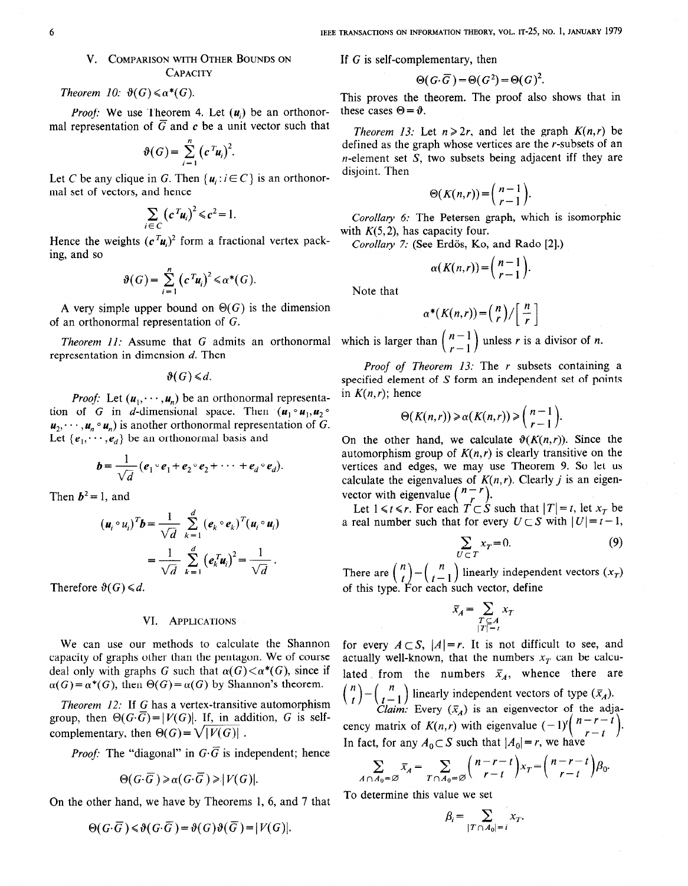## V. COMPARISON WITH OTHER BOUNDS ON **CAPACITY**

Theorem 10:  $\vartheta(G) \leq \alpha^*(G)$ .

*Proof:* We use Theorem 4. Let  $(u_i)$  be an orthonormal representation of  $\overline{G}$  and  $\overline{c}$  be a unit vector such that

$$
\vartheta(G) = \sum_{i=1}^n (c^T u_i)^2
$$

Let C be any clique in G. Then  $\{u_i : i \in C\}$  is an orthonorma1 set of vectors, and hence

$$
\sum_{i \in C} \left( c^T u_i \right)^2 \leq c^2 = 1.
$$

Hence the weights  $(c<sup>T</sup>u<sub>i</sub>)<sup>2</sup>$  form a fractional vertex packing, and so

$$
\vartheta(G) = \sum_{i=1}^n (c^T u_i)^2 \leq \alpha^*(G).
$$

A very simple upper bound on  $\Theta(G)$  is the dimension of an orthonormal representation of G.

Theorem II: Assume that G admits an orthonormal representation in dimension d. Then

 $\vartheta(G) \le d$ .

*Proof:* Let  $(u_1, \dots, u_n)$  be an orthonormal representation of G in d-dimensional space. Then  $(u_1 \circ u_1, u_2 \circ$  $u_2, \dots, u_n \circ u_n$  is another orthonormal representation of G. Let  $\{e_1, \dots, e_d\}$  be an orthonormal basis and

$$
\boldsymbol{b} = \frac{1}{\sqrt{d}} (\boldsymbol{e}_1 \circ \boldsymbol{e}_1 + \boldsymbol{e}_2 \circ \boldsymbol{e}_2 + \cdots + \boldsymbol{e}_d \circ \boldsymbol{e}_d).
$$

Then  $b^2 = 1$ , and

$$
(\mathbf{u}_i \circ \mathbf{u}_i)^T \mathbf{b} = \frac{1}{\sqrt{d}} \sum_{k=1}^d (e_k \circ e_k)^T (\mathbf{u}_i \circ \mathbf{u}_i)
$$
  
= 
$$
\frac{1}{\sqrt{d}} \sum_{k=1}^d (e_k^T \mathbf{u}_i)^2 = \frac{1}{\sqrt{d}}.
$$

Therefore  $\vartheta(G) \le d$ .

## VI. APPLICATIONS

We can use our methods to calculate the Shannon capacity of graphs other than the pentagon. We of course deal only with graphs G such that  $\alpha(G) < \alpha^*(G)$ , since if  $\alpha(G) = \alpha^*(G)$ , then  $\Theta(G) = \alpha(G)$  by Shannon's theorem.

Theorem 12: If G has a vertex-transitive automorphism group, then  $\Theta(G \cdot \overline{G}) = |V(G)|$ . If, in addition, G is selfcomplementary, then  $\Theta(G) = \sqrt{|V(G)|}$ .

*Proof:* The "diagonal" in  $G \cdot \overline{G}$  is independent; hence

$$
\Theta(G \cdot \overline{G}) \geq \alpha(G \cdot \overline{G}) \geq |V(G)|.
$$

On the other hand, we have by Theorems 1, 6, and 7 that

$$
\Theta(G \cdot \overline{G}) \leq \vartheta(G \cdot \overline{G}) = \vartheta(G) \vartheta(\overline{G}) = |V(G)|
$$

If G is self-complementary, then

$$
\Theta(G \cdot \overline{G}) = \Theta(G^2) = \Theta(G)^2.
$$

This proves the theorem. The proof also shows that in these cases  $\Theta = \vartheta$ .

Theorem 13: Let  $n \ge 2r$ , and let the graph  $K(n,r)$  be defined as the graph whose vertices are the r-subsets of an  $n$ -element set S, two subsets being adjacent iff they are disjoint. Then

$$
\Theta(K(n,r)) = \binom{n-1}{r-1}.
$$

Corollary 6: The Petersen graph, which is isomorphic with  $K(5,2)$ , has capacity four.

Corollary 7: (See Erdös, Ko, and Rado [2].)

$$
\alpha(K(n,r))=\binom{n-1}{r-1}.
$$

Note that

$$
\alpha^*(K(n,r)) = \binom{n}{r} / \left[ \frac{n}{r} \right]
$$

which is larger than  $\binom{n-1}{r-1}$  unless r is a divisor of n.

Proof of Theorem 13: The r subsets containing a specified element of S form an independent set of points in  $K(n,r)$ ; hence

$$
\Theta(K(n,r)) \geq \alpha(K(n,r)) \geq \binom{n-1}{r-1}
$$

On the other hand, we calculate  $\vartheta(K(n,r))$ . Since the automorphism group of  $K(n,r)$  is clearly transitive on the vertices and edges, we may use Theorem 9. So let us calculate the eigenvalues of  $K(n,r)$ . Clearly *j* is an eigenvector with eigenvalue  $\binom{n-r}{r}$ .

Let  $1 \le t \le r$ . For each  $T \subset S$  such that  $|T| = t$ , let  $x_T$  be a real number such that for every  $U \subset S$  with  $|U| = t - 1$ ,

$$
\sum_{U \subset T} x_T = 0. \tag{9}
$$

There are  $\binom{n}{t} - \binom{n}{t-1}$  linearly independent vectors  $(x_T)$ of this type. For each such vector, define

$$
\bar{x}_A = \sum_{\substack{T \subseteq A \\ |T| = t}} x_T
$$

for every  $A \subset S$ ,  $|A| = r$ . It is not difficult to see, and actually well-known, that the numbers  $x_T$  can be calculated from the numbers  $\bar{x}_A$ , whence there are  $\binom{n}{t} - \binom{n}{t-1}$  linearly independent vectors of type  $(\bar{x}_A)$ . *Claim:* Every  $(\bar{x}_A)$  is an eigenvector of the adja-

cency matrix of  $K(n,r)$  with eigenvalue  $(-1)^{n}$ ,  $\ldots$ ,  $\ldots$ In fact, for any  $A_0 \subset S$  such that  $|A_0| = r$ , we have

$$
\sum_{A \cap A_0 = \varnothing} \bar{x}_A = \sum_{T \cap A_0 = \varnothing} {n-r-t \choose r-t} x_T = {n-r-t \choose r-t} \beta_0.
$$

To determine this value we set

$$
\beta_i = \sum_{|T \cap A_0| = i} x_T.
$$